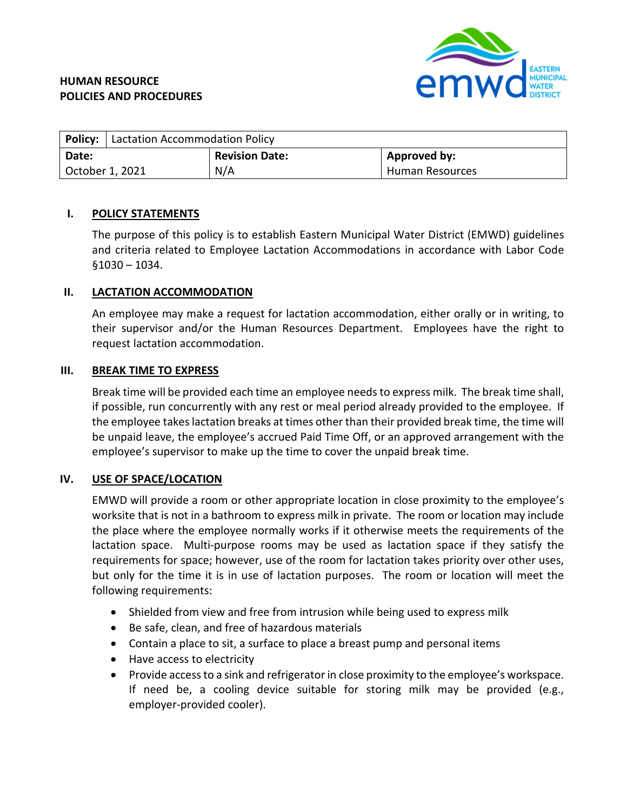# **HUMAN RESOURCE POLICIES AND PROCEDURES**



|                 | <b>Policy:</b>   Lactation Accommodation Policy |                       |                 |
|-----------------|-------------------------------------------------|-----------------------|-----------------|
| Date:           |                                                 | <b>Revision Date:</b> | Approved by:    |
| October 1, 2021 |                                                 | N/A                   | Human Resources |

## **I. POLICY STATEMENTS**

The purpose of this policy is to establish Eastern Municipal Water District (EMWD) guidelines and criteria related to Employee Lactation Accommodations in accordance with Labor Code §1030 – 1034.

## **II. LACTATION ACCOMMODATION**

An employee may make a request for lactation accommodation, either orally or in writing, to their supervisor and/or the Human Resources Department. Employees have the right to request lactation accommodation.

## **III. BREAK TIME TO EXPRESS**

Break time will be provided each time an employee needs to express milk. The break time shall, if possible, run concurrently with any rest or meal period already provided to the employee. If the employee takes lactation breaks at times other than their provided break time, the time will be unpaid leave, the employee's accrued Paid Time Off, or an approved arrangement with the employee's supervisor to make up the time to cover the unpaid break time.

## **IV. USE OF SPACE/LOCATION**

EMWD will provide a room or other appropriate location in close proximity to the employee's worksite that is not in a bathroom to express milk in private. The room or location may include the place where the employee normally works if it otherwise meets the requirements of the lactation space. Multi-purpose rooms may be used as lactation space if they satisfy the requirements for space; however, use of the room for lactation takes priority over other uses, but only for the time it is in use of lactation purposes. The room or location will meet the following requirements:

- Shielded from view and free from intrusion while being used to express milk
- Be safe, clean, and free of hazardous materials
- Contain a place to sit, a surface to place a breast pump and personal items
- Have access to electricity
- Provide access to a sink and refrigerator in close proximity to the employee's workspace. If need be, a cooling device suitable for storing milk may be provided (e.g., employer-provided cooler).